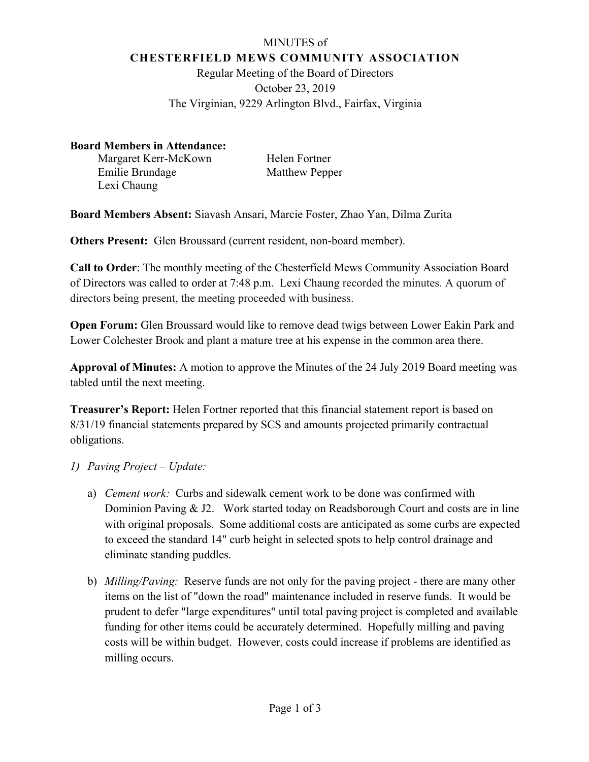# MINUTES of **CHESTERFIELD MEWS COMMUNITY ASSOCIATION**

Regular Meeting of the Board of Directors October 23, 2019 The Virginian, 9229 Arlington Blvd., Fairfax, Virginia

### **Board Members in Attendance:**

Margaret Kerr-McKown Helen Fortner Emilie Brundage Matthew Pepper Lexi Chaung

**Board Members Absent:** Siavash Ansari, Marcie Foster, Zhao Yan, Dilma Zurita

**Others Present:** Glen Broussard (current resident, non-board member).

**Call to Order**: The monthly meeting of the Chesterfield Mews Community Association Board of Directors was called to order at 7:48 p.m. Lexi Chaung recorded the minutes. A quorum of directors being present, the meeting proceeded with business.

**Open Forum:** Glen Broussard would like to remove dead twigs between Lower Eakin Park and Lower Colchester Brook and plant a mature tree at his expense in the common area there.

**Approval of Minutes:** A motion to approve the Minutes of the 24 July 2019 Board meeting was tabled until the next meeting.

**Treasurer's Report:** Helen Fortner reported that this financial statement report is based on 8/31/19 financial statements prepared by SCS and amounts projected primarily contractual obligations.

# *1) Paving Project – Update:*

- a) *Cement work:*Curbs and sidewalk cement work to be done was confirmed with Dominion Paving & J2. Work started today on Readsborough Court and costs are in line with original proposals. Some additional costs are anticipated as some curbs are expected to exceed the standard 14" curb height in selected spots to help control drainage and eliminate standing puddles.
- b) *Milling/Paving:*Reserve funds are not only for the paving project there are many other items on the list of "down the road" maintenance included in reserve funds. It would be prudent to defer "large expenditures" until total paving project is completed and available funding for other items could be accurately determined. Hopefully milling and paving costs will be within budget. However, costs could increase if problems are identified as milling occurs.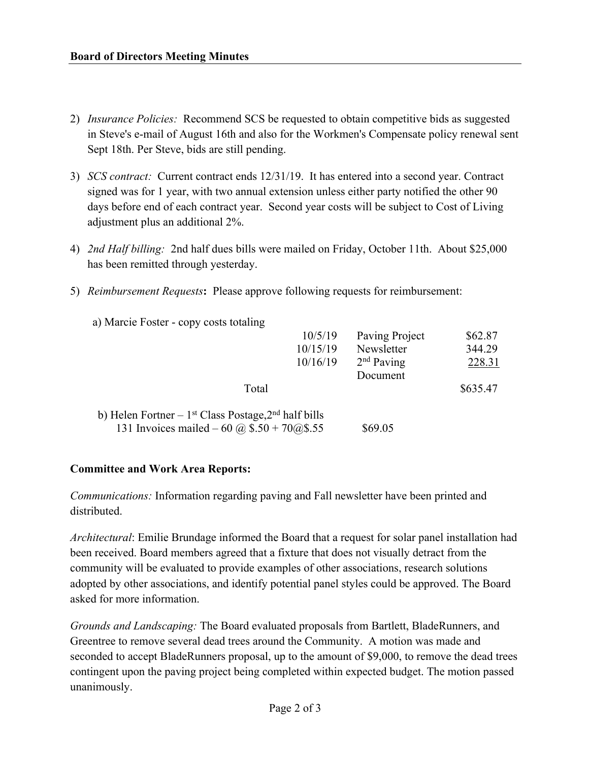- 2) *Insurance Policies:*Recommend SCS be requested to obtain competitive bids as suggested in Steve's e-mail of August 16th and also for the Workmen's Compensate policy renewal sent Sept 18th. Per Steve, bids are still pending.
- 3) *SCS contract:*Current contract ends 12/31/19. It has entered into a second year. Contract signed was for 1 year, with two annual extension unless either party notified the other 90 days before end of each contract year. Second year costs will be subject to Cost of Living adjustment plus an additional 2%.
- 4) *2nd Half billing:*2nd half dues bills were mailed on Friday, October 11th. About \$25,000 has been remitted through yesterday.
- 5) *Reimbursement Requests***:** Please approve following requests for reimbursement:
	- a) Marcie Foster copy costs totaling

|                                                                                                           | 10/5/19<br>10/15/19<br>10/16/19 | Paving Project<br>Newsletter<br>$2nd$ Paving | \$62.87<br>344.29<br>228.31 |
|-----------------------------------------------------------------------------------------------------------|---------------------------------|----------------------------------------------|-----------------------------|
| Total                                                                                                     |                                 | Document                                     | \$635.47                    |
| b) Helen Fortner – $1st$ Class Postage, $2nd$ half bills<br>131 Invoices mailed – 60 @ $$.50 + 70$ @\$.55 |                                 | \$69.05                                      |                             |

#### **Committee and Work Area Reports:**

*Communications:* Information regarding paving and Fall newsletter have been printed and distributed.

*Architectural*: Emilie Brundage informed the Board that a request for solar panel installation had been received. Board members agreed that a fixture that does not visually detract from the community will be evaluated to provide examples of other associations, research solutions adopted by other associations, and identify potential panel styles could be approved. The Board asked for more information.

*Grounds and Landscaping:* The Board evaluated proposals from Bartlett, BladeRunners, and Greentree to remove several dead trees around the Community. A motion was made and seconded to accept BladeRunners proposal, up to the amount of \$9,000, to remove the dead trees contingent upon the paving project being completed within expected budget. The motion passed unanimously.